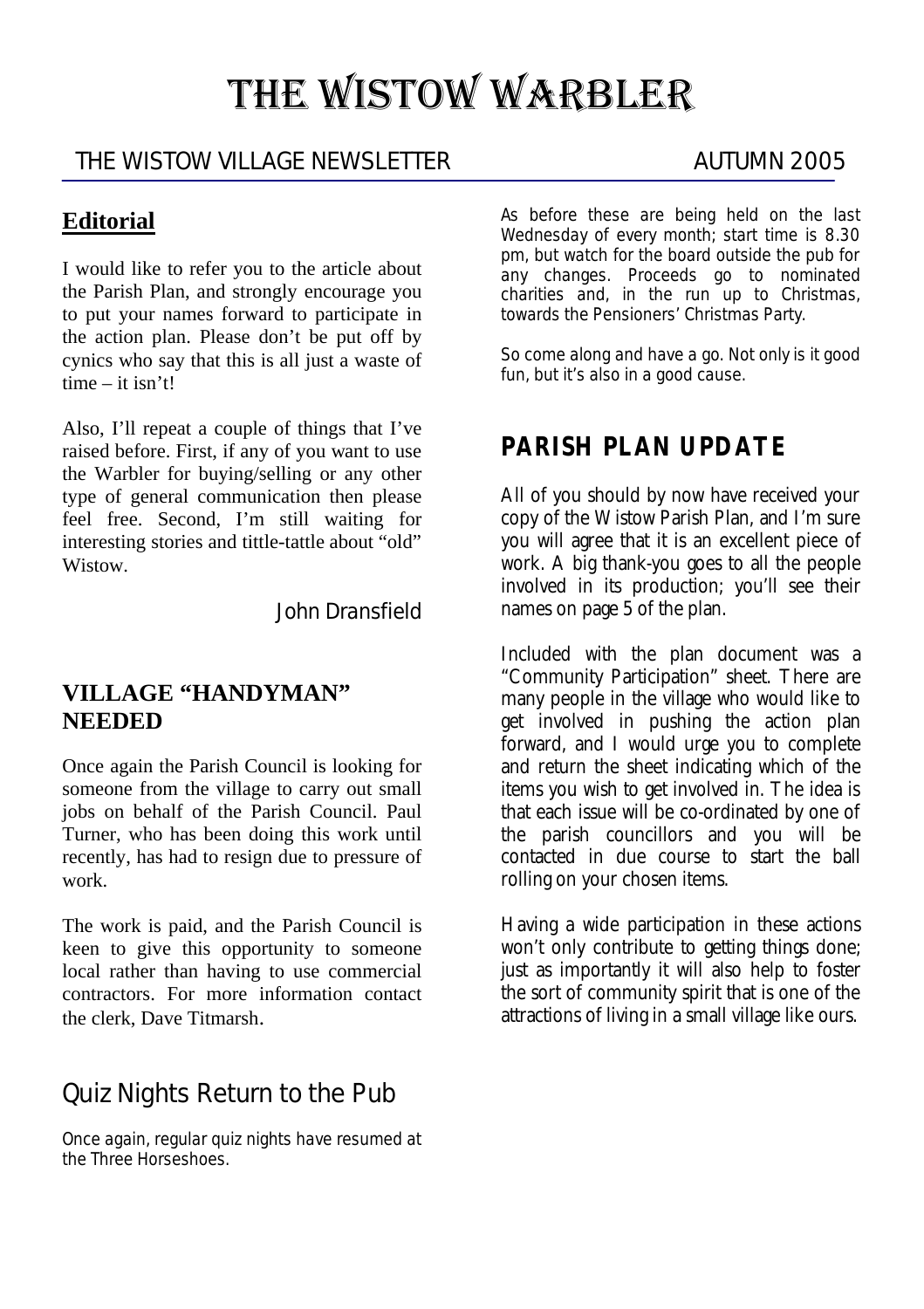# THE WISTOW WARBLER

### THE WISTOW VILLAGE NEWSLETTER AUTUMN 2005

## **Editorial**

I would like to refer you to the article about the Parish Plan, and strongly encourage you to put your names forward to participate in the action plan. Please don't be put off by cynics who say that this is all just a waste of time – it isn't!

Also, I'll repeat a couple of things that I've raised before. First, if any of you want to use the Warbler for buying/selling or any other type of general communication then please feel free. Second, I'm still waiting for interesting stories and tittle-tattle about "old" Wistow.

John Dransfield

#### **VILLAGE "HANDYMAN" NEEDED**

Once again the Parish Council is looking for someone from the village to carry out small jobs on behalf of the Parish Council. Paul Turner, who has been doing this work until recently, has had to resign due to pressure of work.

The work is paid, and the Parish Council is keen to give this opportunity to someone local rather than having to use commercial contractors. For more information contact the clerk, Dave Titmarsh.

# Quiz Nights Return to the Pub

Once again, regular quiz nights have resumed at the Three Horseshoes.

As before these are being held on the last Wednesday of every month; start time is 8.30 pm, but watch for the board outside the pub for any changes. Proceeds go to nominated charities and, in the run up to Christmas, towards the Pensioners' Christmas Party.

So come along and have a go. Not only is it good fun, but it's also in a good cause.

# **PARISH PLAN UPDATE**

All of you should by now have received your copy of the Wistow Parish Plan, and I'm sure you will agree that it is an excellent piece of work. A big thank-you goes to all the people involved in its production; you'll see their names on page 5 of the plan.

Included with the plan document was a "Community Participation" sheet. There are many people in the village who would like to get involved in pushing the action plan forward, and I would urge you to complete and return the sheet indicating which of the items you wish to get involved in. The idea is that each issue will be co-ordinated by one of the parish councillors and you will be contacted in due course to start the ball rolling on your chosen items.

Having a wide participation in these actions won't only contribute to getting things done; just as importantly it will also help to foster the sort of community spirit that is one of the attractions of living in a small village like ours.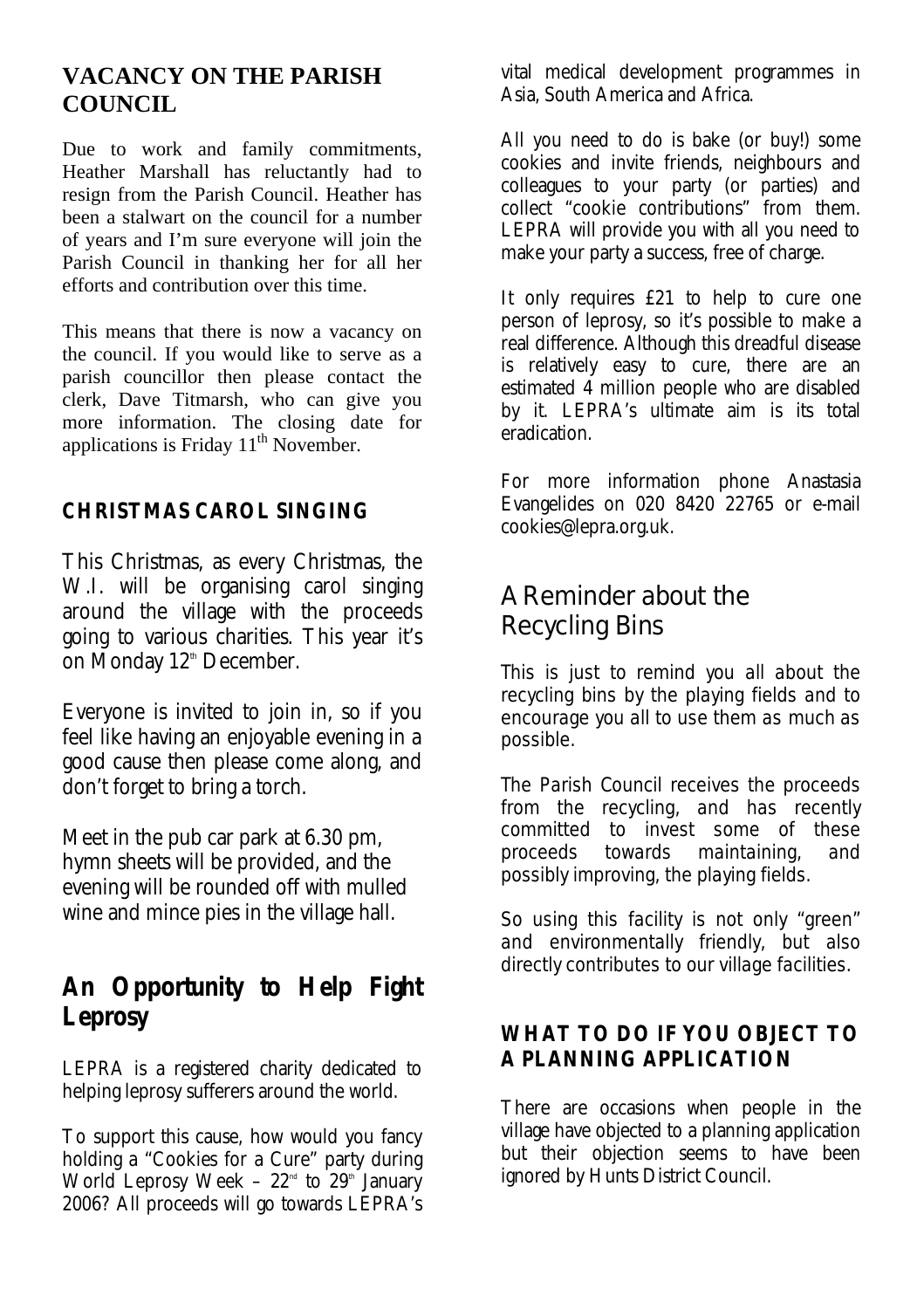#### **VACANCY ON THE PARISH COUNCIL**

Due to work and family commitments, Heather Marshall has reluctantly had to resign from the Parish Council. Heather has been a stalwart on the council for a number of years and I'm sure everyone will join the Parish Council in thanking her for all her efforts and contribution over this time.

This means that there is now a vacancy on the council. If you would like to serve as a parish councillor then please contact the clerk, Dave Titmarsh, who can give you more information. The closing date for applications is Friday  $11<sup>th</sup>$  November.

#### **CHRISTMAS CAROL SINGING**

This Christmas, as every Christmas, the W.I. will be organising carol singing around the village with the proceeds going to various charities. This year it's on Monday 12<sup>th</sup> December.

Everyone is invited to join in, so if you feel like having an enjoyable evening in a good cause then please come along, and don't forget to bring a torch.

Meet in the pub car park at 6.30 pm, hymn sheets will be provided, and the evening will be rounded off with mulled wine and mince pies in the village hall.

# **An Opportunity to Help Fight Leprosy**

LEPRA is a registered charity dedicated to helping leprosy sufferers around the world.

To support this cause, how would you fancy holding a "Cookies for a Cure" party during World Leprosy Week –  $22<sup>nd</sup>$  to  $29<sup>th</sup>$  January 2006? All proceeds will go towards LEPRA's

vital medical development programmes in Asia, South America and Africa.

All you need to do is bake (or buy!) some cookies and invite friends, neighbours and colleagues to your party (or parties) and collect "cookie contributions" from them. LEPRA will provide you with all you need to make your party a success, free of charge.

It only requires £21 to help to cure one person of leprosy, so it's possible to make a real difference. Although this dreadful disease is relatively easy to cure, there are an estimated 4 million people who are disabled by it. LEPRA's ultimate aim is its total eradication.

For more information phone Anastasia Evangelides on 020 8420 22765 or e-mail cookies@lepra.org.uk.

# A Reminder about the Recycling Bins

This is just to remind you all about the recycling bins by the playing fields and to encourage you all to use them as much as possible.

The Parish Council receives the proceeds from the recycling, and has recently committed to invest some of these proceeds towards maintaining, and possibly improving, the playing fields.

So using this facility is not only "green" and environmentally friendly, but also directly contributes to our village facilities.

#### **WHAT TO DO IF YOU OBJECT TO A PLANNING APPLICATION**

There are occasions when people in the village have objected to a planning application but their objection seems to have been ignored by Hunts District Council.